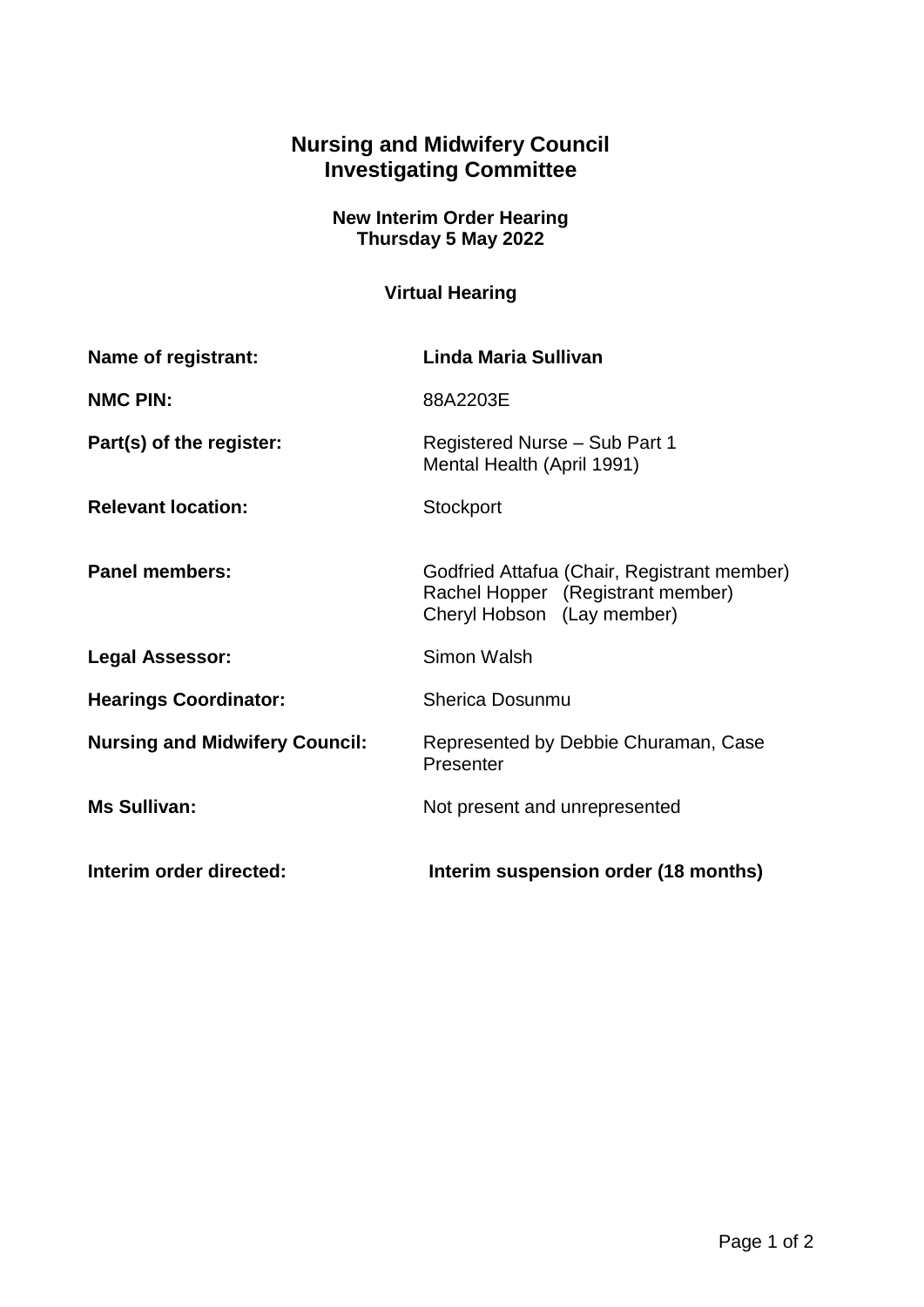## **Nursing and Midwifery Council Investigating Committee**

**New Interim Order Hearing Thursday 5 May 2022**

## **Virtual Hearing**

| <b>Name of registrant:</b>            | Linda Maria Sullivan                                                                                           |
|---------------------------------------|----------------------------------------------------------------------------------------------------------------|
| <b>NMC PIN:</b>                       | 88A2203E                                                                                                       |
| Part(s) of the register:              | Registered Nurse - Sub Part 1<br>Mental Health (April 1991)                                                    |
| <b>Relevant location:</b>             | Stockport                                                                                                      |
| <b>Panel members:</b>                 | Godfried Attafua (Chair, Registrant member)<br>Rachel Hopper (Registrant member)<br>Cheryl Hobson (Lay member) |
| <b>Legal Assessor:</b>                | Simon Walsh                                                                                                    |
| <b>Hearings Coordinator:</b>          | <b>Sherica Dosunmu</b>                                                                                         |
| <b>Nursing and Midwifery Council:</b> | Represented by Debbie Churaman, Case<br>Presenter                                                              |
| <b>Ms Sullivan:</b>                   | Not present and unrepresented                                                                                  |
| Interim order directed:               | Interim suspension order (18 months)                                                                           |